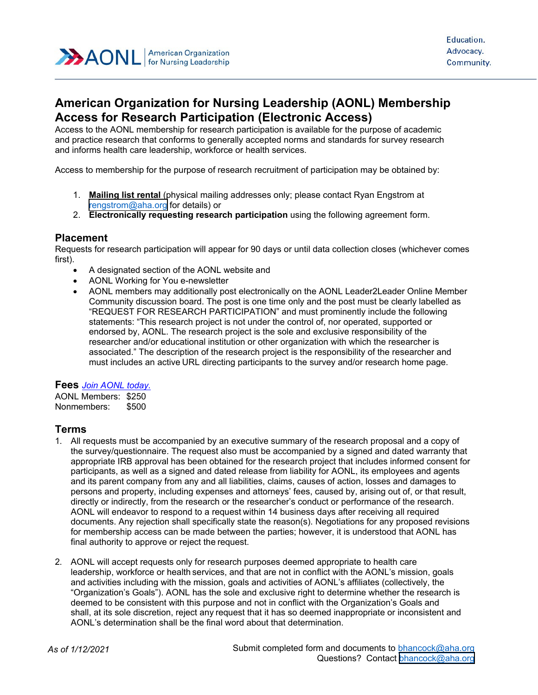

# **American Organization for Nursing Leadership (AONL) Membership Access for Research Participation (Electronic Access)**

Access to the AONL membership for research participation is available for the purpose of academic and practice research that conforms to generally accepted norms and standards for survey research and informs health care leadership, workforce or health services.

Access to membership for the purpose of research recruitment of participation may be obtained by:

- 1. **Mailing list rental** (physical mailing addresses only; please contact Ryan Engstrom at [rengstrom@aha.org](mailto:rengstrom@aha.org) for details) or
- 2. **Electronically requesting research participation** using the following agreement form.

#### **Placement**

Requests for research participation will appear for 90 days or until data collection closes (whichever comes first).

- A designated section of the AONL website and
- AONL Working for You e-newsletter
- AONL members may additionally post electronically on the AONL Leader2Leader Online Member Community discussion board. The post is one time only and the post must be clearly labelled as "REQUEST FOR RESEARCH PARTICIPATION" and must prominently include the following statements: "This research project is not under the control of, nor operated, supported or endorsed by, AONL. The research project is the sole and exclusive responsibility of the researcher and/or educational institution or other organization with which the researcher is associated." The description of the research project is the responsibility of the researcher and must includes an active URL directing participants to the survey and/or research home page.

#### **Fees** *[Join AONL today.](https://www.aonl.org/membership/join)*

AONL Members: \$250 Nonmembers: \$500

### **Terms**

- 1. All requests must be accompanied by an executive summary of the research proposal and a copy of the survey/questionnaire. The request also must be accompanied by a signed and dated warranty that appropriate IRB approval has been obtained for the research project that includes informed consent for participants, as well as a signed and dated release from liability for AONL, its employees and agents and its parent company from any and all liabilities, claims, causes of action, losses and damages to persons and property, including expenses and attorneys' fees, caused by, arising out of, or that result, directly or indirectly, from the research or the researcher's conduct or performance of the research. AONL will endeavor to respond to a request within 14 business days after receiving all required documents. Any rejection shall specifically state the reason(s). Negotiations for any proposed revisions for membership access can be made between the parties; however, it is understood that AONL has final authority to approve or reject the request.
- 2. AONL will accept requests only for research purposes deemed appropriate to health care leadership, workforce or health services, and that are not in conflict with the AONL's mission, goals and activities including with the mission, goals and activities of AONL's affiliates (collectively, the "Organization's Goals"). AONL has the sole and exclusive right to determine whether the research is deemed to be consistent with this purpose and not in conflict with the Organization's Goals and shall, at its sole discretion, reject any request that it has so deemed inappropriate or inconsistent and AONL's determination shall be the final word about that determination.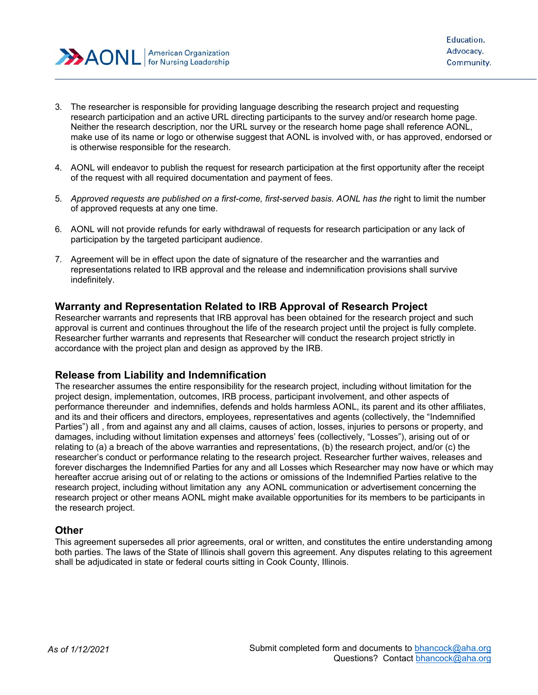

- 3. The researcher is responsible for providing language describing the research project and requesting research participation and an active URL directing participants to the survey and/or research home page. Neither the research description, nor the URL survey or the research home page shall reference AONL, make use of its name or logo or otherwise suggest that AONL is involved with, or has approved, endorsed or is otherwise responsible for the research.
- 4. AONL will endeavor to publish the request for research participation at the first opportunity after the receipt of the request with all required documentation and payment of fees.
- 5. *Approved requests are published on a first-come, first-served basis. AONL has the* right to limit the number of approved requests at any one time.
- 6. AONL will not provide refunds for early withdrawal of requests for research participation or any lack of participation by the targeted participant audience.
- 7. Agreement will be in effect upon the date of signature of the researcher and the warranties and representations related to IRB approval and the release and indemnification provisions shall survive indefinitely.

## **Warranty and Representation Related to IRB Approval of Research Project**

Researcher warrants and represents that IRB approval has been obtained for the research project and such approval is current and continues throughout the life of the research project until the project is fully complete. Researcher further warrants and represents that Researcher will conduct the research project strictly in accordance with the project plan and design as approved by the IRB.

### **Release from Liability and Indemnification**

The researcher assumes the entire responsibility for the research project, including without limitation for the project design, implementation, outcomes, IRB process, participant involvement, and other aspects of performance thereunder and indemnifies, defends and holds harmless AONL, its parent and its other affiliates, and its and their officers and directors, employees, representatives and agents (collectively, the "Indemnified Parties") all , from and against any and all claims, causes of action, losses, injuries to persons or property, and damages, including without limitation expenses and attorneys' fees (collectively, "Losses"), arising out of or relating to (a) a breach of the above warranties and representations, (b) the research project, and/or (c) the researcher's conduct or performance relating to the research project. Researcher further waives, releases and forever discharges the Indemnified Parties for any and all Losses which Researcher may now have or which may hereafter accrue arising out of or relating to the actions or omissions of the Indemnified Parties relative to the research project, including without limitation any any AONL communication or advertisement concerning the research project or other means AONL might make available opportunities for its members to be participants in the research project.

### **Other**

This agreement supersedes all prior agreements, oral or written, and constitutes the entire understanding among both parties. The laws of the State of Illinois shall govern this agreement. Any disputes relating to this agreement shall be adjudicated in state or federal courts sitting in Cook County, Illinois.